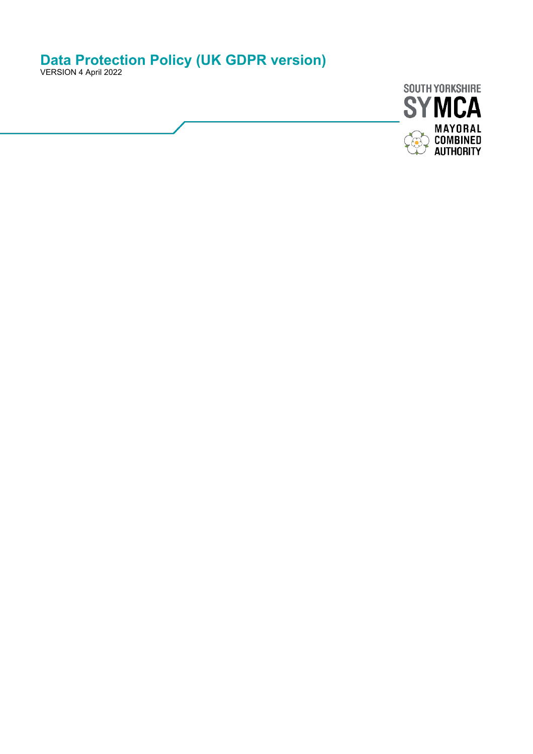# **Data Protection Policy (UK GDPR version)**

VERSION 4 April 2022

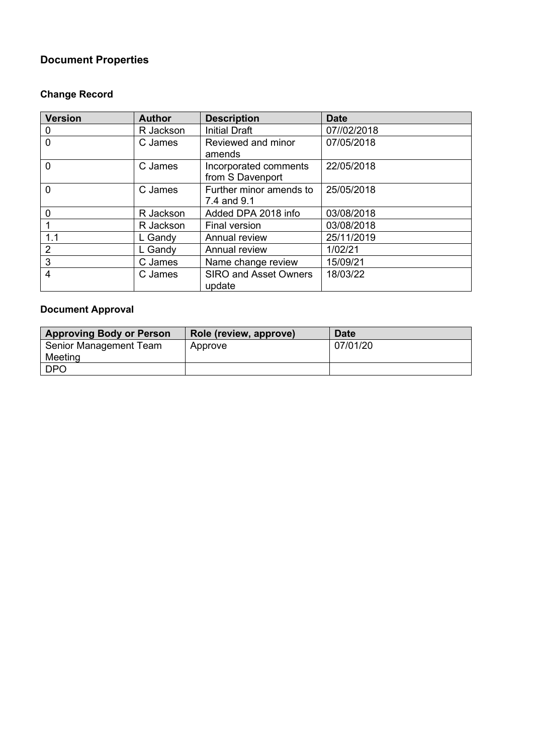# **Document Properties**

# **Change Record**

| <b>Version</b> | <b>Author</b> | <b>Description</b>                        | <b>Date</b> |
|----------------|---------------|-------------------------------------------|-------------|
| 0              | R Jackson     | <b>Initial Draft</b>                      | 07//02/2018 |
| $\mathbf 0$    | C James       | Reviewed and minor<br>amends              | 07/05/2018  |
| $\overline{0}$ | C James       | Incorporated comments<br>from S Davenport | 22/05/2018  |
| $\mathbf 0$    | C James       | Further minor amends to<br>7.4 and 9.1    | 25/05/2018  |
| 0              | R Jackson     | Added DPA 2018 info                       | 03/08/2018  |
|                | R Jackson     | Final version                             | 03/08/2018  |
| 1.1            | L Gandy       | Annual review                             | 25/11/2019  |
| $\overline{2}$ | L Gandy       | Annual review                             | 1/02/21     |
| 3              | C James       | Name change review                        | 15/09/21    |
| 4              | C James       | <b>SIRO and Asset Owners</b><br>update    | 18/03/22    |

# **Document Approval**

| <b>Approving Body or Person</b> | Role (review, approve) | <b>Date</b> |
|---------------------------------|------------------------|-------------|
| Senior Management Team          | Approve                | 07/01/20    |
| Meeting                         |                        |             |
| <b>DPO</b>                      |                        |             |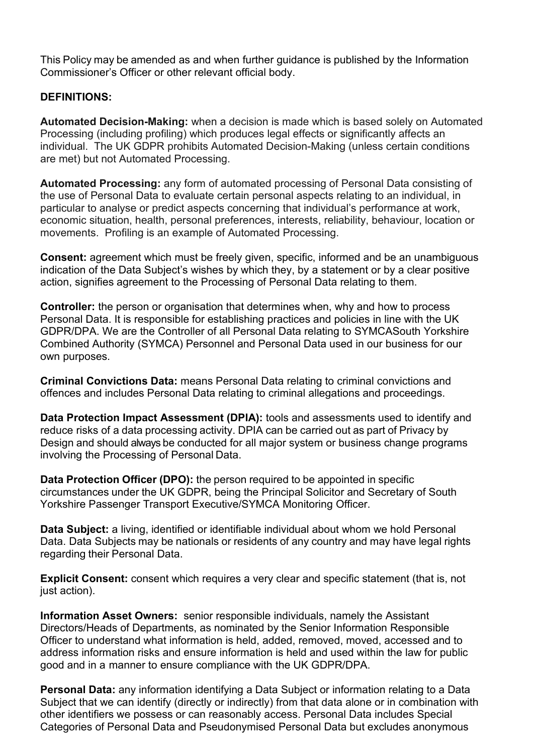This Policy may be amended as and when further guidance is published by the Information Commissioner's Officer or other relevant official body.

## **DEFINITIONS:**

**Automated Decision-Making:** when a decision is made which is based solely on Automated Processing (including profiling) which produces legal effects or significantly affects an individual. The UK GDPR prohibits Automated Decision-Making (unless certain conditions are met) but not Automated Processing.

**Automated Processing:** any form of automated processing of Personal Data consisting of the use of Personal Data to evaluate certain personal aspects relating to an individual, in particular to analyse or predict aspects concerning that individual's performance at work, economic situation, health, personal preferences, interests, reliability, behaviour, location or movements. Profiling is an example of Automated Processing.

**Consent:** agreement which must be freely given, specific, informed and be an unambiguous indication of the Data Subject's wishes by which they, by a statement or by a clear positive action, signifies agreement to the Processing of Personal Data relating to them.

**Controller:** the person or organisation that determines when, why and how to process Personal Data. It is responsible for establishing practices and policies in line with the UK GDPR/DPA. We are the Controller of all Personal Data relating to SYMCASouth Yorkshire Combined Authority (SYMCA) Personnel and Personal Data used in our business for our own purposes.

**Criminal Convictions Data:** means Personal Data relating to criminal convictions and offences and includes Personal Data relating to criminal allegations and proceedings.

**Data Protection Impact Assessment (DPIA):** tools and assessments used to identify and reduce risks of a data processing activity. DPIA can be carried out as part of Privacy by Design and should always be conducted for all major system or business change programs involving the Processing of Personal Data.

**Data Protection Officer (DPO):** the person required to be appointed in specific circumstances under the UK GDPR, being the Principal Solicitor and Secretary of South Yorkshire Passenger Transport Executive/SYMCA Monitoring Officer.

**Data Subject:** a living, identified or identifiable individual about whom we hold Personal Data. Data Subjects may be nationals or residents of any country and may have legal rights regarding their Personal Data.

**Explicit Consent:** consent which requires a very clear and specific statement (that is, not just action).

**Information Asset Owners:** senior responsible individuals, namely the Assistant Directors/Heads of Departments, as nominated by the Senior Information Responsible Officer to understand what information is held, added, removed, moved, accessed and to address information risks and ensure information is held and used within the law for public good and in a manner to ensure compliance with the UK GDPR/DPA.

**Personal Data:** any information identifying a Data Subject or information relating to a Data Subject that we can identify (directly or indirectly) from that data alone or in combination with other identifiers we possess or can reasonably access. Personal Data includes Special Categories of Personal Data and Pseudonymised Personal Data but excludes anonymous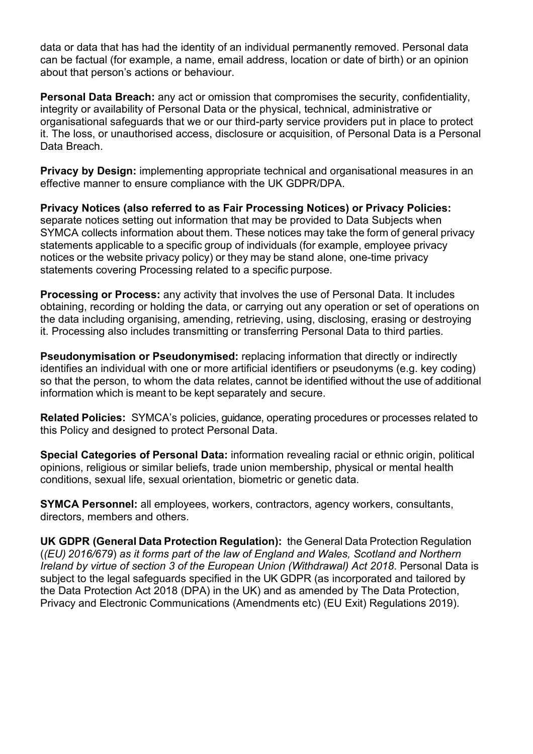data or data that has had the identity of an individual permanently removed. Personal data can be factual (for example, a name, email address, location or date of birth) or an opinion about that person's actions or behaviour.

**Personal Data Breach:** any act or omission that compromises the security, confidentiality, integrity or availability of Personal Data or the physical, technical, administrative or organisational safeguards that we or our third-party service providers put in place to protect it. The loss, or unauthorised access, disclosure or acquisition, of Personal Data is a Personal Data Breach.

**Privacy by Design:** implementing appropriate technical and organisational measures in an effective manner to ensure compliance with the UK GDPR/DPA.

**Privacy Notices (also referred to as Fair Processing Notices) or Privacy Policies:** separate notices setting out information that may be provided to Data Subjects when SYMCA collects information about them. These notices may take the form of general privacy statements applicable to a specific group of individuals (for example, employee privacy notices or the website privacy policy) or they may be stand alone, one-time privacy statements covering Processing related to a specific purpose.

**Processing or Process:** any activity that involves the use of Personal Data. It includes obtaining, recording or holding the data, or carrying out any operation or set of operations on the data including organising, amending, retrieving, using, disclosing, erasing or destroying it. Processing also includes transmitting or transferring Personal Data to third parties.

**Pseudonymisation or Pseudonymised:** replacing information that directly or indirectly identifies an individual with one or more artificial identifiers or pseudonyms (e.g. key coding) so that the person, to whom the data relates, cannot be identified without the use of additional information which is meant to be kept separately and secure.

**Related Policies:** SYMCA's policies, guidance, operating procedures or processes related to this Policy and designed to protect Personal Data.

**Special Categories of Personal Data:** information revealing racial or ethnic origin, political opinions, religious or similar beliefs, trade union membership, physical or mental health conditions, sexual life, sexual orientation, biometric or genetic data.

**SYMCA Personnel:** all employees, workers, contractors, agency workers, consultants, directors, members and others.

**UK GDPR (General Data Protection Regulation):** the General Data Protection Regulation (*(EU) 2016/679*) *as it forms part of the law of England and Wales, Scotland and Northern Ireland by virtue of section 3 of the European Union (Withdrawal) Act 2018*. Personal Data is subject to the legal safeguards specified in the UK GDPR (as incorporated and tailored by the Data Protection Act 2018 (DPA) in the UK) and as amended by The Data Protection, Privacy and Electronic Communications (Amendments etc) (EU Exit) Regulations 2019).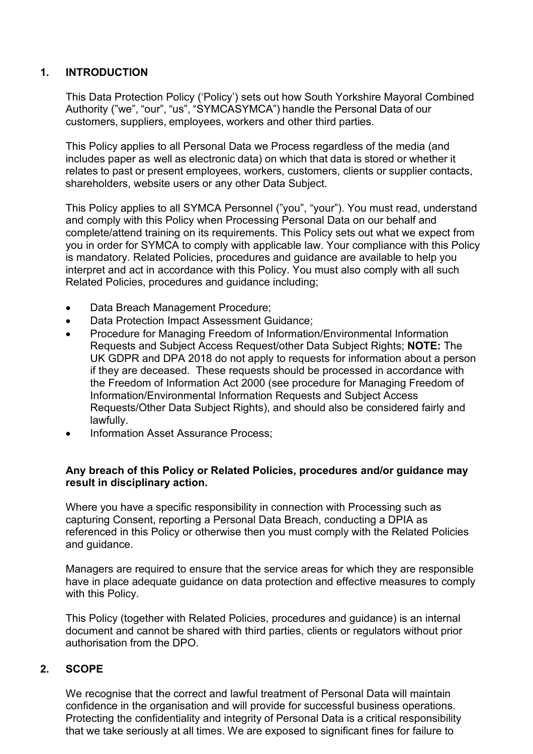## **1. INTRODUCTION**

This Data Protection Policy ('Policy') sets out how South Yorkshire Mayoral Combined Authority ("we", "our", "us", "SYMCASYMCA") handle the Personal Data of our customers, suppliers, employees, workers and other third parties.

This Policy applies to all Personal Data we Process regardless of the media (and includes paper as well as electronic data) on which that data is stored or whether it relates to past or present employees, workers, customers, clients or supplier contacts, shareholders, website users or any other Data Subject.

This Policy applies to all SYMCA Personnel ("you", "your"). You must read, understand and comply with this Policy when Processing Personal Data on our behalf and complete/attend training on its requirements. This Policy sets out what we expect from you in order for SYMCA to comply with applicable law. Your compliance with this Policy is mandatory. Related Policies, procedures and guidance are available to help you interpret and act in accordance with this Policy. You must also comply with all such Related Policies, procedures and guidance including;

- Data Breach Management Procedure;
- Data Protection Impact Assessment Guidance;
- Procedure for Managing Freedom of Information/Environmental Information Requests and Subject Access Request/other Data Subject Rights; **NOTE:** The UK GDPR and DPA 2018 do not apply to requests for information about a person if they are deceased. These requests should be processed in accordance with the Freedom of Information Act 2000 (see procedure for Managing Freedom of Information/Environmental Information Requests and Subject Access Requests/Other Data Subject Rights), and should also be considered fairly and lawfully.
- Information Asset Assurance Process;

### **Any breach of this Policy or Related Policies, procedures and/or guidance may result in disciplinary action.**

Where you have a specific responsibility in connection with Processing such as capturing Consent, reporting a Personal Data Breach, conducting a DPIA as referenced in this Policy or otherwise then you must comply with the Related Policies and guidance.

Managers are required to ensure that the service areas for which they are responsible have in place adequate guidance on data protection and effective measures to comply with this Policy.

This Policy (together with Related Policies, procedures and guidance) is an internal document and cannot be shared with third parties, clients or regulators without prior authorisation from the DPO.

### **2. SCOPE**

We recognise that the correct and lawful treatment of Personal Data will maintain confidence in the organisation and will provide for successful business operations. Protecting the confidentiality and integrity of Personal Data is a critical responsibility that we take seriously at all times. We are exposed to significant fines for failure to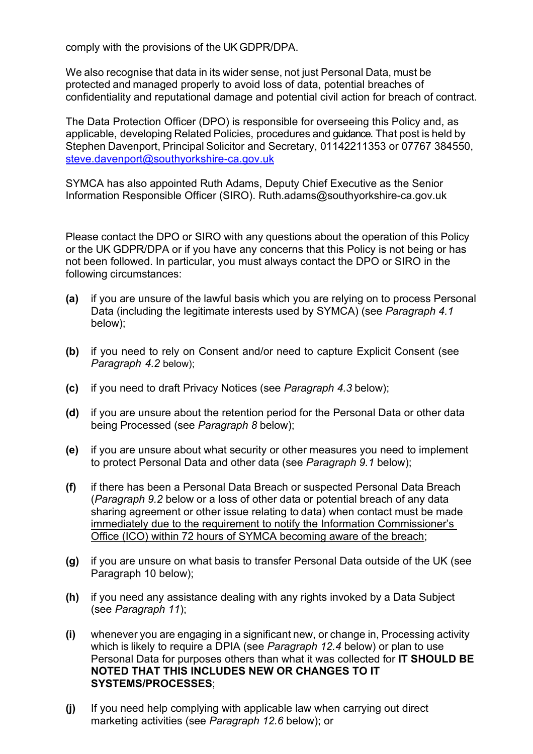comply with the provisions of the UK GDPR/DPA.

We also recognise that data in its wider sense, not just Personal Data, must be protected and managed properly to avoid loss of data, potential breaches of confidentiality and reputational damage and potential civil action for breach of contract.

The Data Protection Officer (DPO) is responsible for overseeing this Policy and, as applicable, developing Related Policies, procedures and guidance. That post is held by Stephen Davenport, Principal Solicitor and Secretary, 01142211353 or 07767 384550, [steve.davenport@southyorkshire-ca.gov.uk](mailto:steve.davenport@southyorkshire-ca.gov.uk) 

SYMCA has also appointed Ruth Adams, Deputy Chief Executive as the Senior Information Responsible Officer (SIRO). Ruth.adams@southyorkshire-ca.gov.uk

Please contact the DPO or SIRO with any questions about the operation of this Policy or the UK GDPR/DPA or if you have any concerns that this Policy is not being or has not been followed. In particular, you must always contact the DPO or SIRO in the following circumstances:

- **(a)** if you are unsure of the lawful basis which you are relying on to process Personal Data (including the legitimate interests used by SYMCA) (see *Paragraph 4.1* below);
- **(b)** if you need to rely on Consent and/or need to capture Explicit Consent (see *Paragraph 4.2* below);
- **(c)** if you need to draft Privacy Notices (see *Paragraph 4.3* below);
- **(d)** if you are unsure about the retention period for the Personal Data or other data being Processed (see *Paragraph 8* below);
- **(e)** if you are unsure about what security or other measures you need to implement to protect Personal Data and other data (see *Paragraph 9.1* below);
- **(f)** if there has been a Personal Data Breach or suspected Personal Data Breach (*Paragraph 9.2* below or a loss of other data or potential breach of any data sharing agreement or other issue relating to data) when contact must be made immediately due to the requirement to notify the Information Commissioner's Office (ICO) within 72 hours of SYMCA becoming aware of the breach;
- **(g)** if you are unsure on what basis to transfer Personal Data outside of the UK (see Paragraph 10 below);
- **(h)** if you need any assistance dealing with any rights invoked by a Data Subject (see *Paragraph 11*);
- **(i)** whenever you are engaging in a significant new, or change in, Processing activity which is likely to require a DPIA (see *Paragraph 12.4* below) or plan to use Personal Data for purposes others than what it was collected for **IT SHOULD BE NOTED THAT THIS INCLUDES NEW OR CHANGES TO IT SYSTEMS/PROCESSES**;
- **(j)** If you need help complying with applicable law when carrying out direct marketing activities (see *Paragraph 12.6* below); or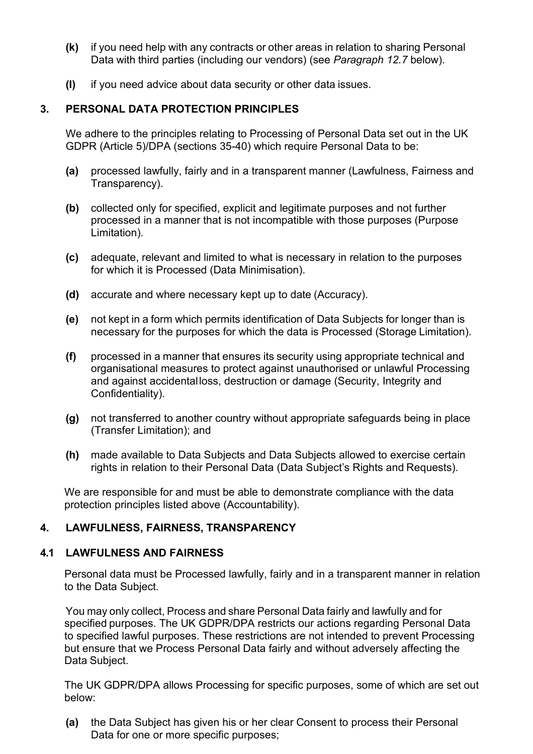- **(k)** if you need help with any contracts or other areas in relation to sharing Personal Data with third parties (including our vendors) (see *Paragraph 12.7* below).
- **(l)** if you need advice about data security or other data issues.

## **3. PERSONAL DATA PROTECTION PRINCIPLES**

We adhere to the principles relating to Processing of Personal Data set out in the UK GDPR (Article 5)/DPA (sections 35-40) which require Personal Data to be:

- **(a)** processed lawfully, fairly and in a transparent manner (Lawfulness, Fairness and Transparency).
- **(b)** collected only for specified, explicit and legitimate purposes and not further processed in a manner that is not incompatible with those purposes (Purpose Limitation).
- **(c)** adequate, relevant and limited to what is necessary in relation to the purposes for which it is Processed (Data Minimisation).
- **(d)** accurate and where necessary kept up to date (Accuracy).
- **(e)** not kept in a form which permits identification of Data Subjects for longer than is necessary for the purposes for which the data is Processed (Storage Limitation).
- **(f)** processed in a manner that ensures its security using appropriate technical and organisational measures to protect against unauthorised or unlawful Processing and against accidentalloss, destruction or damage (Security, Integrity and Confidentiality).
- **(g)** not transferred to another country without appropriate safeguards being in place (Transfer Limitation); and
- **(h)** made available to Data Subjects and Data Subjects allowed to exercise certain rights in relation to their Personal Data (Data Subject's Rights and Requests).

We are responsible for and must be able to demonstrate compliance with the data protection principles listed above (Accountability).

## **4. LAWFULNESS, FAIRNESS, TRANSPARENCY**

## **4.1 LAWFULNESS AND FAIRNESS**

Personal data must be Processed lawfully, fairly and in a transparent manner in relation to the Data Subject.

You may only collect, Process and share Personal Data fairly and lawfully and for specified purposes. The UK GDPR/DPA restricts our actions regarding Personal Data to specified lawful purposes. These restrictions are not intended to prevent Processing but ensure that we Process Personal Data fairly and without adversely affecting the Data Subject.

The UK GDPR/DPA allows Processing for specific purposes, some of which are set out below:

**(a)** the Data Subject has given his or her clear Consent to process their Personal Data for one or more specific purposes;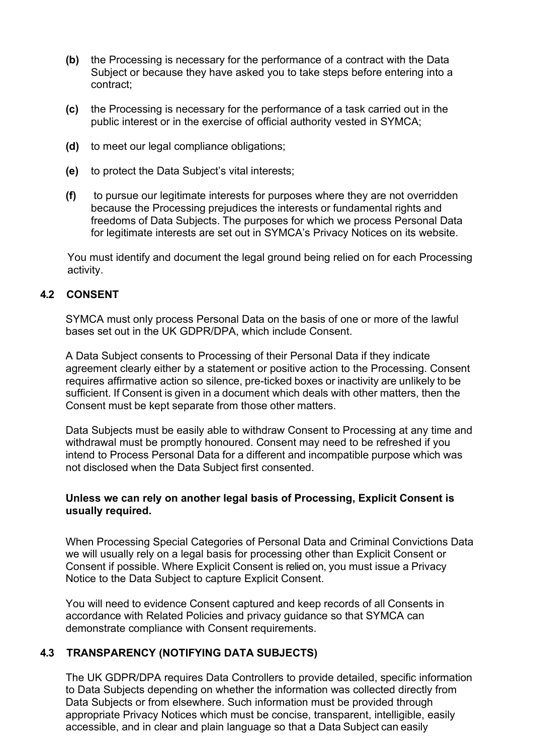- **(b)** the Processing is necessary for the performance of a contract with the Data Subject or because they have asked you to take steps before entering into a contract;
- **(c)** the Processing is necessary for the performance of a task carried out in the public interest or in the exercise of official authority vested in SYMCA;
- **(d)** to meet our legal compliance obligations;
- **(e)** to protect the Data Subject's vital interests;
- **(f)** to pursue our legitimate interests for purposes where they are not overridden because the Processing prejudices the interests or fundamental rights and freedoms of Data Subjects. The purposes for which we process Personal Data for legitimate interests are set out in SYMCA's Privacy Notices on its website.

You must identify and document the legal ground being relied on for each Processing activity.

### **4.2 CONSENT**

SYMCA must only process Personal Data on the basis of one or more of the lawful bases set out in the UK GDPR/DPA, which include Consent.

A Data Subject consents to Processing of their Personal Data if they indicate agreement clearly either by a statement or positive action to the Processing. Consent requires affirmative action so silence, pre-ticked boxes or inactivity are unlikely to be sufficient. If Consent is given in a document which deals with other matters, then the Consent must be kept separate from those other matters.

Data Subjects must be easily able to withdraw Consent to Processing at any time and withdrawal must be promptly honoured. Consent may need to be refreshed if you intend to Process Personal Data for a different and incompatible purpose which was not disclosed when the Data Subject first consented.

### **Unless we can rely on another legal basis of Processing, Explicit Consent is usually required.**

When Processing Special Categories of Personal Data and Criminal Convictions Data we will usually rely on a legal basis for processing other than Explicit Consent or Consent if possible. Where Explicit Consent is relied on, you must issue a Privacy Notice to the Data Subject to capture Explicit Consent.

You will need to evidence Consent captured and keep records of all Consents in accordance with Related Policies and privacy guidance so that SYMCA can demonstrate compliance with Consent requirements.

### **4.3 TRANSPARENCY (NOTIFYING DATA SUBJECTS)**

The UK GDPR/DPA requires Data Controllers to provide detailed, specific information to Data Subjects depending on whether the information was collected directly from Data Subjects or from elsewhere. Such information must be provided through appropriate Privacy Notices which must be concise, transparent, intelligible, easily accessible, and in clear and plain language so that a Data Subject can easily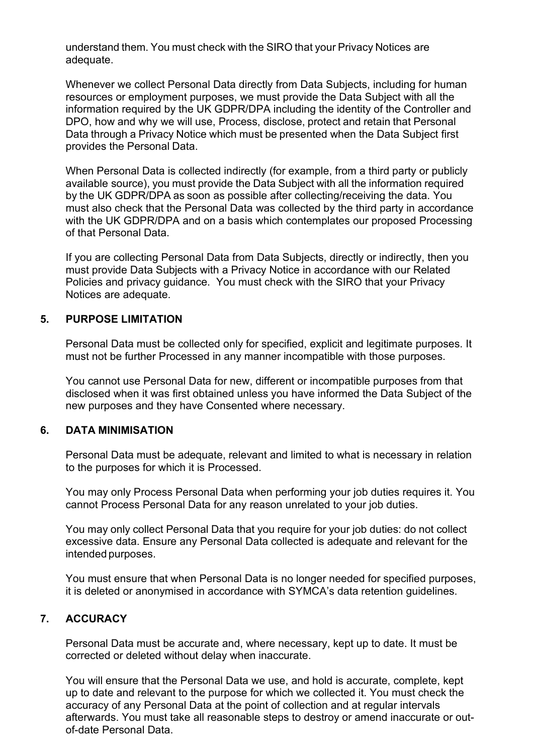understand them. You must check with the SIRO that your Privacy Notices are adequate.

Whenever we collect Personal Data directly from Data Subjects, including for human resources or employment purposes, we must provide the Data Subject with all the information required by the UK GDPR/DPA including the identity of the Controller and DPO, how and why we will use, Process, disclose, protect and retain that Personal Data through a Privacy Notice which must be presented when the Data Subject first provides the Personal Data.

When Personal Data is collected indirectly (for example, from a third party or publicly available source), you must provide the Data Subject with all the information required by the UK GDPR/DPA as soon as possible after collecting/receiving the data. You must also check that the Personal Data was collected by the third party in accordance with the UK GDPR/DPA and on a basis which contemplates our proposed Processing of that Personal Data.

If you are collecting Personal Data from Data Subjects, directly or indirectly, then you must provide Data Subjects with a Privacy Notice in accordance with our Related Policies and privacy guidance. You must check with the SIRO that your Privacy Notices are adequate.

### **5. PURPOSE LIMITATION**

Personal Data must be collected only for specified, explicit and legitimate purposes. It must not be further Processed in any manner incompatible with those purposes.

You cannot use Personal Data for new, different or incompatible purposes from that disclosed when it was first obtained unless you have informed the Data Subject of the new purposes and they have Consented where necessary.

### **6. DATA MINIMISATION**

Personal Data must be adequate, relevant and limited to what is necessary in relation to the purposes for which it is Processed.

You may only Process Personal Data when performing your job duties requires it. You cannot Process Personal Data for any reason unrelated to your job duties.

You may only collect Personal Data that you require for your job duties: do not collect excessive data. Ensure any Personal Data collected is adequate and relevant for the intended purposes.

You must ensure that when Personal Data is no longer needed for specified purposes, it is deleted or anonymised in accordance with SYMCA's data retention guidelines.

## **7. ACCURACY**

Personal Data must be accurate and, where necessary, kept up to date. It must be corrected or deleted without delay when inaccurate.

You will ensure that the Personal Data we use, and hold is accurate, complete, kept up to date and relevant to the purpose for which we collected it. You must check the accuracy of any Personal Data at the point of collection and at regular intervals afterwards. You must take all reasonable steps to destroy or amend inaccurate or outof-date Personal Data.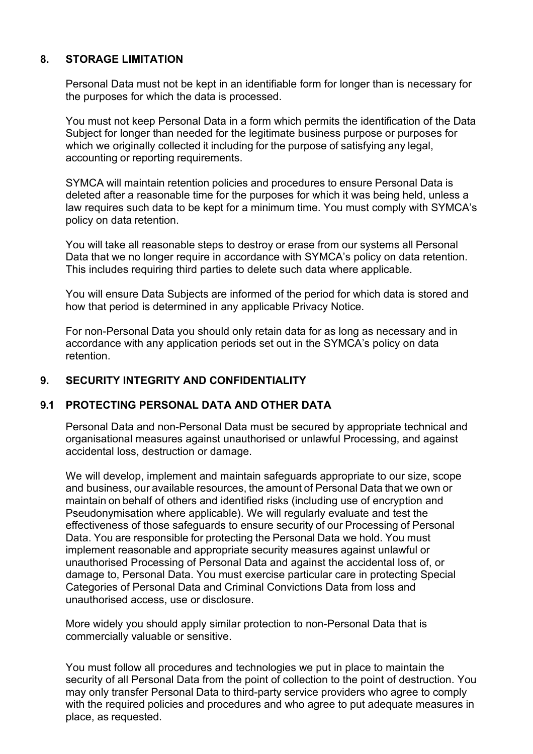## **8. STORAGE LIMITATION**

Personal Data must not be kept in an identifiable form for longer than is necessary for the purposes for which the data is processed.

You must not keep Personal Data in a form which permits the identification of the Data Subject for longer than needed for the legitimate business purpose or purposes for which we originally collected it including for the purpose of satisfying any legal, accounting or reporting requirements.

SYMCA will maintain retention policies and procedures to ensure Personal Data is deleted after a reasonable time for the purposes for which it was being held, unless a law requires such data to be kept for a minimum time. You must comply with SYMCA's policy on data retention.

You will take all reasonable steps to destroy or erase from our systems all Personal Data that we no longer require in accordance with SYMCA's policy on data retention. This includes requiring third parties to delete such data where applicable.

You will ensure Data Subjects are informed of the period for which data is stored and how that period is determined in any applicable Privacy Notice.

For non-Personal Data you should only retain data for as long as necessary and in accordance with any application periods set out in the SYMCA's policy on data retention.

## **9. SECURITY INTEGRITY AND CONFIDENTIALITY**

## **9.1 PROTECTING PERSONAL DATA AND OTHER DATA**

Personal Data and non-Personal Data must be secured by appropriate technical and organisational measures against unauthorised or unlawful Processing, and against accidental loss, destruction or damage.

We will develop, implement and maintain safeguards appropriate to our size, scope and business, our available resources, the amount of Personal Data that we own or maintain on behalf of others and identified risks (including use of encryption and Pseudonymisation where applicable). We will regularly evaluate and test the effectiveness of those safeguards to ensure security of our Processing of Personal Data. You are responsible for protecting the Personal Data we hold. You must implement reasonable and appropriate security measures against unlawful or unauthorised Processing of Personal Data and against the accidental loss of, or damage to, Personal Data. You must exercise particular care in protecting Special Categories of Personal Data and Criminal Convictions Data from loss and unauthorised access, use or disclosure.

More widely you should apply similar protection to non-Personal Data that is commercially valuable or sensitive.

You must follow all procedures and technologies we put in place to maintain the security of all Personal Data from the point of collection to the point of destruction. You may only transfer Personal Data to third-party service providers who agree to comply with the required policies and procedures and who agree to put adequate measures in place, as requested.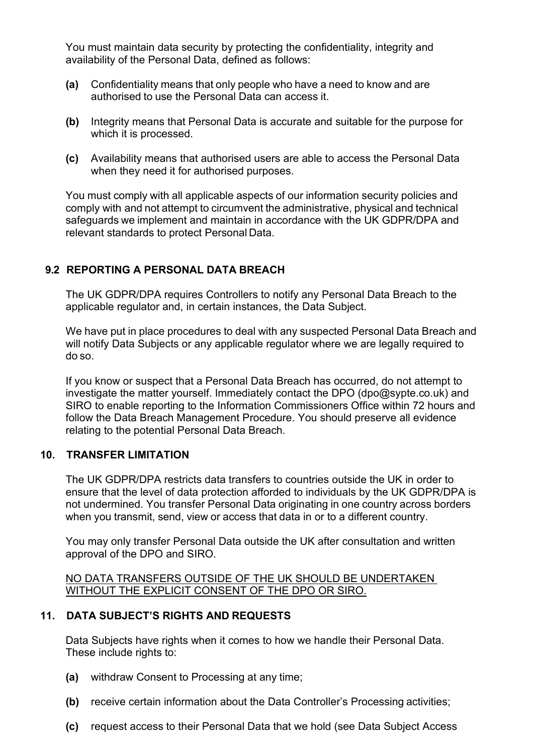You must maintain data security by protecting the confidentiality, integrity and availability of the Personal Data, defined as follows:

- **(a)** Confidentiality means that only people who have a need to know and are authorised to use the Personal Data can access it.
- **(b)** Integrity means that Personal Data is accurate and suitable for the purpose for which it is processed.
- **(c)** Availability means that authorised users are able to access the Personal Data when they need it for authorised purposes.

You must comply with all applicable aspects of our information security policies and comply with and not attempt to circumvent the administrative, physical and technical safeguards we implement and maintain in accordance with the UK GDPR/DPA and relevant standards to protect Personal Data.

## **9.2 REPORTING A PERSONAL DATA BREACH**

The UK GDPR/DPA requires Controllers to notify any Personal Data Breach to the applicable regulator and, in certain instances, the Data Subject.

We have put in place procedures to deal with any suspected Personal Data Breach and will notify Data Subjects or any applicable regulator where we are legally required to do so.

If you know or suspect that a Personal Data Breach has occurred, do not attempt to investigate the matter yourself. Immediately contact the DPO (dpo@sypte.co.uk) and SIRO to enable reporting to the Information Commissioners Office within 72 hours and follow the Data Breach Management Procedure. You should preserve all evidence relating to the potential Personal Data Breach.

### **10. TRANSFER LIMITATION**

The UK GDPR/DPA restricts data transfers to countries outside the UK in order to ensure that the level of data protection afforded to individuals by the UK GDPR/DPA is not undermined. You transfer Personal Data originating in one country across borders when you transmit, send, view or access that data in or to a different country.

You may only transfer Personal Data outside the UK after consultation and written approval of the DPO and SIRO.

#### NO DATA TRANSFERS OUTSIDE OF THE UK SHOULD BE UNDERTAKEN WITHOUT THE EXPLICIT CONSENT OF THE DPO OR SIRO.

## **11. DATA SUBJECT'S RIGHTS AND REQUESTS**

Data Subjects have rights when it comes to how we handle their Personal Data. These include rights to:

- **(a)** withdraw Consent to Processing at any time;
- **(b)** receive certain information about the Data Controller's Processing activities;
- **(c)** request access to their Personal Data that we hold (see Data Subject Access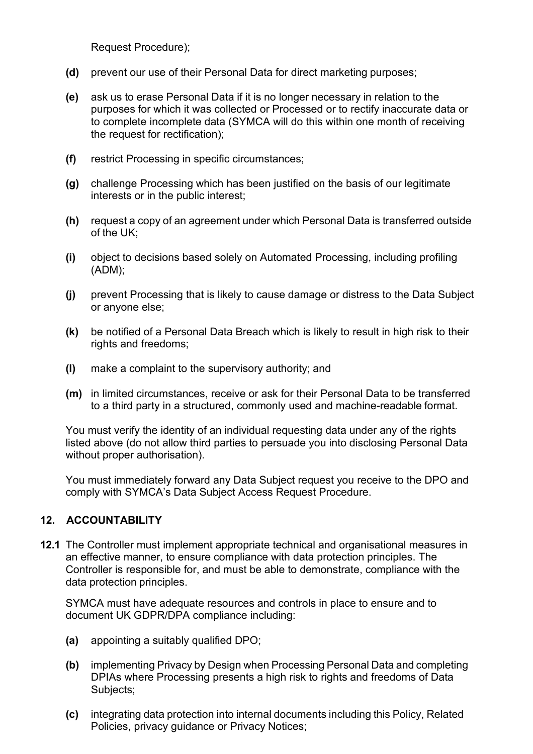Request Procedure);

- **(d)** prevent our use of their Personal Data for direct marketing purposes;
- **(e)** ask us to erase Personal Data if it is no longer necessary in relation to the purposes for which it was collected or Processed or to rectify inaccurate data or to complete incomplete data (SYMCA will do this within one month of receiving the request for rectification);
- **(f)** restrict Processing in specific circumstances;
- **(g)** challenge Processing which has been justified on the basis of our legitimate interests or in the public interest;
- **(h)** request a copy of an agreement under which Personal Data is transferred outside of the UK;
- **(i)** object to decisions based solely on Automated Processing, including profiling (ADM);
- **(j)** prevent Processing that is likely to cause damage or distress to the Data Subject or anyone else;
- **(k)** be notified of a Personal Data Breach which is likely to result in high risk to their rights and freedoms;
- **(l)** make a complaint to the supervisory authority; and
- **(m)** in limited circumstances, receive or ask for their Personal Data to be transferred to a third party in a structured, commonly used and machine-readable format.

You must verify the identity of an individual requesting data under any of the rights listed above (do not allow third parties to persuade you into disclosing Personal Data without proper authorisation).

You must immediately forward any Data Subject request you receive to the DPO and comply with SYMCA's Data Subject Access Request Procedure.

## **12. ACCOUNTABILITY**

**12.1** The Controller must implement appropriate technical and organisational measures in an effective manner, to ensure compliance with data protection principles. The Controller is responsible for, and must be able to demonstrate, compliance with the data protection principles.

SYMCA must have adequate resources and controls in place to ensure and to document UK GDPR/DPA compliance including:

- **(a)** appointing a suitably qualified DPO;
- **(b)** implementing Privacy by Design when Processing Personal Data and completing DPIAs where Processing presents a high risk to rights and freedoms of Data Subjects;
- **(c)** integrating data protection into internal documents including this Policy, Related Policies, privacy guidance or Privacy Notices;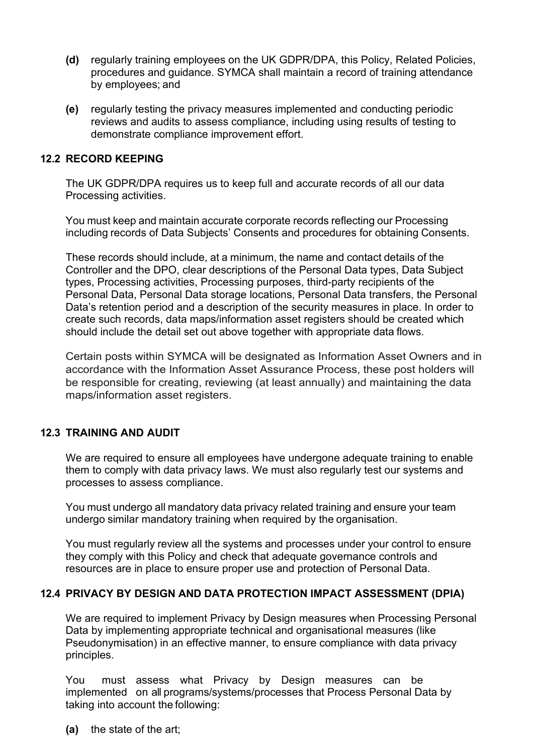- **(d)** regularly training employees on the UK GDPR/DPA, this Policy, Related Policies, procedures and guidance. SYMCA shall maintain a record of training attendance by employees; and
- **(e)** regularly testing the privacy measures implemented and conducting periodic reviews and audits to assess compliance, including using results of testing to demonstrate compliance improvement effort.

#### **12.2 RECORD KEEPING**

The UK GDPR/DPA requires us to keep full and accurate records of all our data Processing activities.

You must keep and maintain accurate corporate records reflecting our Processing including records of Data Subjects' Consents and procedures for obtaining Consents.

These records should include, at a minimum, the name and contact details of the Controller and the DPO, clear descriptions of the Personal Data types, Data Subject types, Processing activities, Processing purposes, third-party recipients of the Personal Data, Personal Data storage locations, Personal Data transfers, the Personal Data's retention period and a description of the security measures in place. In order to create such records, data maps/information asset registers should be created which should include the detail set out above together with appropriate data flows.

Certain posts within SYMCA will be designated as Information Asset Owners and in accordance with the Information Asset Assurance Process, these post holders will be responsible for creating, reviewing (at least annually) and maintaining the data maps/information asset registers.

### **12.3 TRAINING AND AUDIT**

We are required to ensure all employees have undergone adequate training to enable them to comply with data privacy laws. We must also regularly test our systems and processes to assess compliance.

You must undergo all mandatory data privacy related training and ensure your team undergo similar mandatory training when required by the organisation.

You must regularly review all the systems and processes under your control to ensure they comply with this Policy and check that adequate governance controls and resources are in place to ensure proper use and protection of Personal Data.

#### **12.4 PRIVACY BY DESIGN AND DATA PROTECTION IMPACT ASSESSMENT (DPIA)**

We are required to implement Privacy by Design measures when Processing Personal Data by implementing appropriate technical and organisational measures (like Pseudonymisation) in an effective manner, to ensure compliance with data privacy principles.

You must assess what Privacy by Design measures can be implemented on all programs/systems/processes that Process Personal Data by taking into account the following:

**(a)** the state of the art;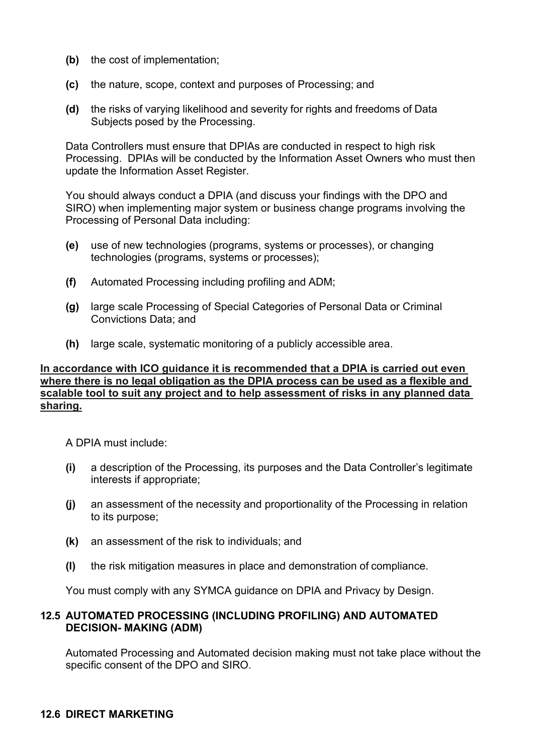- **(b)** the cost of implementation;
- **(c)** the nature, scope, context and purposes of Processing; and
- **(d)** the risks of varying likelihood and severity for rights and freedoms of Data Subjects posed by the Processing.

Data Controllers must ensure that DPIAs are conducted in respect to high risk Processing. DPIAs will be conducted by the Information Asset Owners who must then update the Information Asset Register.

You should always conduct a DPIA (and discuss your findings with the DPO and SIRO) when implementing major system or business change programs involving the Processing of Personal Data including:

- **(e)** use of new technologies (programs, systems or processes), or changing technologies (programs, systems or processes);
- **(f)** Automated Processing including profiling and ADM;
- **(g)** large scale Processing of Special Categories of Personal Data or Criminal Convictions Data; and
- **(h)** large scale, systematic monitoring of a publicly accessible area.

#### **In accordance with ICO guidance it is recommended that a DPIA is carried out even where there is no legal obligation as the DPIA process can be used as a flexible and scalable tool to suit any project and to help assessment of risks in any planned data sharing.**

A DPIA must include:

- **(i)** a description of the Processing, its purposes and the Data Controller's legitimate interests if appropriate;
- **(j)** an assessment of the necessity and proportionality of the Processing in relation to its purpose;
- **(k)** an assessment of the risk to individuals; and
- **(l)** the risk mitigation measures in place and demonstration of compliance.

You must comply with any SYMCA guidance on DPIA and Privacy by Design.

### **12.5 AUTOMATED PROCESSING (INCLUDING PROFILING) AND AUTOMATED DECISION- MAKING (ADM)**

Automated Processing and Automated decision making must not take place without the specific consent of the DPO and SIRO.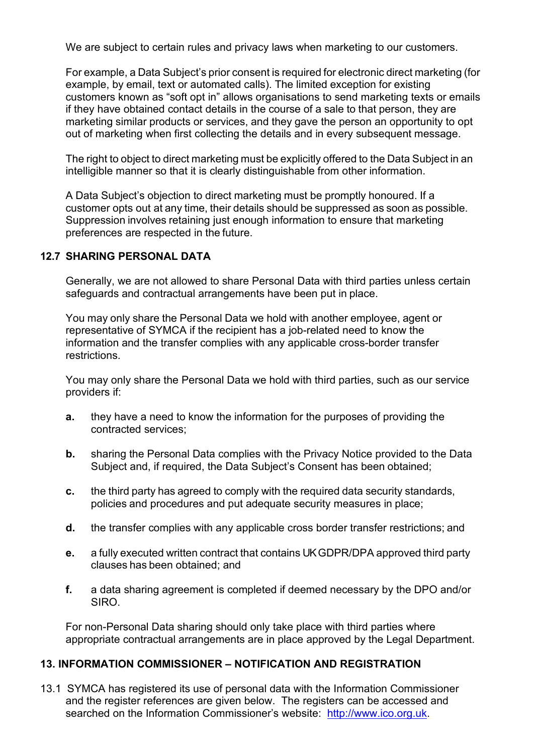We are subiect to certain rules and privacy laws when marketing to our customers.

For example, a Data Subject's prior consent is required for electronic direct marketing (for example, by email, text or automated calls). The limited exception for existing customers known as "soft opt in" allows organisations to send marketing texts or emails if they have obtained contact details in the course of a sale to that person, they are marketing similar products or services, and they gave the person an opportunity to opt out of marketing when first collecting the details and in every subsequent message.

The right to object to direct marketing must be explicitly offered to the Data Subject in an intelligible manner so that it is clearly distinguishable from other information.

A Data Subject's objection to direct marketing must be promptly honoured. If a customer opts out at any time, their details should be suppressed as soon as possible. Suppression involves retaining just enough information to ensure that marketing preferences are respected in the future.

## **12.7 SHARING PERSONAL DATA**

Generally, we are not allowed to share Personal Data with third parties unless certain safeguards and contractual arrangements have been put in place.

You may only share the Personal Data we hold with another employee, agent or representative of SYMCA if the recipient has a job-related need to know the information and the transfer complies with any applicable cross-border transfer restrictions.

You may only share the Personal Data we hold with third parties, such as our service providers if:

- **a.** they have a need to know the information for the purposes of providing the contracted services;
- **b.** sharing the Personal Data complies with the Privacy Notice provided to the Data Subject and, if required, the Data Subject's Consent has been obtained;
- **c.** the third party has agreed to comply with the required data security standards, policies and procedures and put adequate security measures in place;
- **d.** the transfer complies with any applicable cross border transfer restrictions; and
- **e.** a fully executed written contract that contains UK GDPR/DPA approved third party clauses has been obtained; and
- **f.** a data sharing agreement is completed if deemed necessary by the DPO and/or SIRO.

For non-Personal Data sharing should only take place with third parties where appropriate contractual arrangements are in place approved by the Legal Department.

## **13. INFORMATION COMMISSIONER – NOTIFICATION AND REGISTRATION**

13.1 SYMCA has registered its use of personal data with the Information Commissioner and the register references are given below. The registers can be accessed and searched on the Information Commissioner's website: [http://www.ico.org.uk.](http://www.ico.org.uk/)